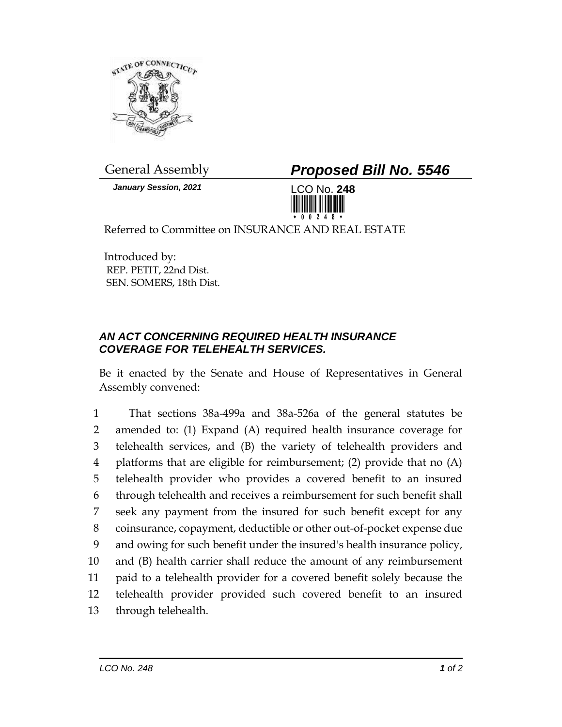

*January Session, 2021* LCO No. **248**

General Assembly *Proposed Bill No. 5546*



Referred to Committee on INSURANCE AND REAL ESTATE

Introduced by: REP. PETIT, 22nd Dist. SEN. SOMERS, 18th Dist.

## *AN ACT CONCERNING REQUIRED HEALTH INSURANCE COVERAGE FOR TELEHEALTH SERVICES.*

Be it enacted by the Senate and House of Representatives in General Assembly convened:

 That sections 38a-499a and 38a-526a of the general statutes be amended to: (1) Expand (A) required health insurance coverage for telehealth services, and (B) the variety of telehealth providers and platforms that are eligible for reimbursement; (2) provide that no (A) telehealth provider who provides a covered benefit to an insured through telehealth and receives a reimbursement for such benefit shall seek any payment from the insured for such benefit except for any coinsurance, copayment, deductible or other out-of-pocket expense due and owing for such benefit under the insured's health insurance policy, and (B) health carrier shall reduce the amount of any reimbursement paid to a telehealth provider for a covered benefit solely because the telehealth provider provided such covered benefit to an insured through telehealth.